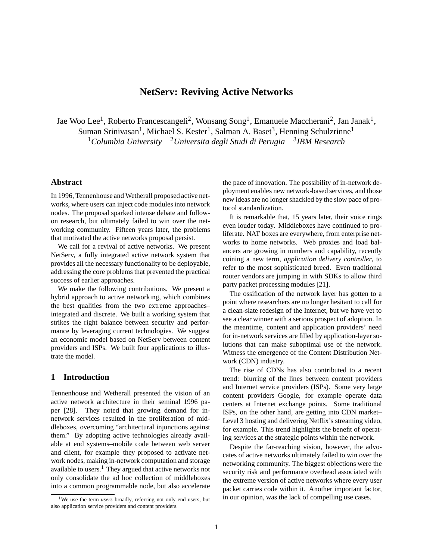# **NetServ: Reviving Active Networks**

Jae Woo Lee<sup>1</sup>, Roberto Francescangeli<sup>2</sup>, Wonsang Song<sup>1</sup>, Emanuele Maccherani<sup>2</sup>, Jan Janak<sup>1</sup>, Suman Srinivasan<sup>1</sup>, Michael S. Kester<sup>1</sup>, Salman A. Baset<sup>3</sup>, Henning Schulzrinne<sup>1</sup> <sup>1</sup>Columbia University <sup>2</sup> Universita degli Studi di Perugia <sup>3</sup>IBM Research

# **Abstract**

In 1996, Tennenhouse and Wetherall proposed active networks, where users can inject code modules into network nodes. The proposal sparked intense debate and followon research, but ultimately failed to win over the networking community. Fifteen years later, the problems that motivated the active networks proposal persist.

We call for a revival of active networks. We present NetServ, a fully integrated active network system that provides all the necessary functionality to be deployable, addressing the core problems that prevented the practical success of earlier approaches.

We make the following contributions. We present a hybrid approach to active networking, which combines the best qualities from the two extreme approaches– integrated and discrete. We built a working system that strikes the right balance between security and performance by leveraging current technologies. We suggest an economic model based on NetServ between content providers and ISPs. We built four applications to illustrate the model.

# **1 Introduction**

Tennenhouse and Wetherall presented the vision of an active network architecture in their seminal 1996 paper [28]. They noted that growing demand for innetwork services resulted in the proliferation of middleboxes, overcoming "architectural injunctions against them." By adopting active technologies already available at end systems–mobile code between web server and client, for example–they proposed to activate network nodes, making in-network computation and storage available to users. $<sup>1</sup>$  They argued that active networks not</sup> only consolidate the ad hoc collection of middleboxes into a common programmable node, but also accelerate the pace of innovation. The possibility of in-network deployment enables new network-based services, and those new ideas are no longer shackled by the slow pace of protocol standardization.

It is remarkable that, 15 years later, their voice rings even louder today. Middleboxes have continued to proliferate. NAT boxes are everywhere, from enterprise networks to home networks. Web proxies and load balancers are growing in numbers and capability, recently coining a new term, *application delivery controller*, to refer to the most sophisticated breed. Even traditional router vendors are jumping in with SDKs to allow third party packet processing modules [21].

The ossification of the network layer has gotten to a point where researchers are no longer hesitant to call for a clean-slate redesign of the Internet, but we have yet to see a clear winner with a serious prospect of adoption. In the meantime, content and application providers' need for in-network services are filled by application-layer solutions that can make suboptimal use of the network. Witness the emergence of the Content Distribution Network (CDN) industry.

The rise of CDNs has also contributed to a recent trend: blurring of the lines between content providers and Internet service providers (ISPs). Some very large content providers–Google, for example–operate data centers at Internet exchange points. Some traditional ISPs, on the other hand, are getting into CDN market– Level 3 hosting and delivering Netflix's streaming video, for example. This trend highlights the benefit of operating services at the strategic points within the network.

Despite the far-reaching vision, however, the advocates of active networks ultimately failed to win over the networking community. The biggest objections were the security risk and performance overhead associated with the extreme version of active networks where every user packet carries code within it. Another important factor, in our opinion, was the lack of compelling use cases.

<sup>&</sup>lt;sup>1</sup>We use the term *users* broadly, referring not only end users, but also application service providers and content providers.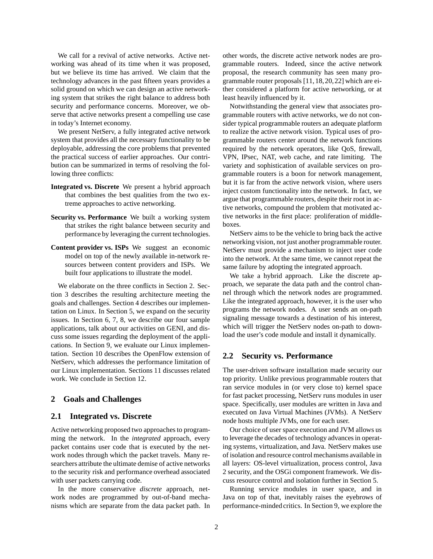We call for a revival of active networks. Active networking was ahead of its time when it was proposed, but we believe its time has arrived. We claim that the technology advances in the past fifteen years provides a solid ground on which we can design an active networking system that strikes the right balance to address both security and performance concerns. Moreover, we observe that active networks present a compelling use case in today's Internet economy.

We present NetServ, a fully integrated active network system that provides all the necessary functionality to be deployable, addressing the core problems that prevented the practical success of earlier approaches. Our contribution can be summarized in terms of resolving the following three conflicts:

- **Integrated vs. Discrete** We present a hybrid approach that combines the best qualities from the two extreme approaches to active networking.
- **Security vs. Performance** We built a working system that strikes the right balance between security and performance by leveraging the current technologies.
- **Content provider vs. ISPs** We suggest an economic model on top of the newly available in-network resources between content providers and ISPs. We built four applications to illustrate the model.

We elaborate on the three conflicts in Section 2. Section 3 describes the resulting architecture meeting the goals and challenges. Section 4 describes our implementation on Linux. In Section 5, we expand on the security issues. In Section 6, 7, 8, we describe our four sample applications, talk about our activities on GENI, and discuss some issues regarding the deployment of the applications. In Section 9, we evaluate our Linux implementation. Section 10 describes the OpenFlow extension of NetServ, which addresses the performance limitation of our Linux implementation. Sections 11 discusses related work. We conclude in Section 12.

## **2 Goals and Challenges**

### **2.1 Integrated vs. Discrete**

Active networking proposed two approaches to programming the network. In the *integrated* approach, every packet contains user code that is executed by the network nodes through which the packet travels. Many researchers attribute the ultimate demise of active networks to the security risk and performance overhead associated with user packets carrying code.

In the more conservative *discrete* approach, network nodes are programmed by out-of-band mechanisms which are separate from the data packet path. In other words, the discrete active network nodes are programmable routers. Indeed, since the active network proposal, the research community has seen many programmable router proposals [11,18,20,22] which are either considered a platform for active networking, or at least heavily influenced by it.

Notwithstanding the general view that associates programmable routers with active networks, we do not consider typical programmable routers an adequate platform to realize the active network vision. Typical uses of programmable routers center around the network functions required by the network operators, like QoS, firewall, VPN, IPsec, NAT, web cache, and rate limiting. The variety and sophistication of available services on programmable routers is a boon for network management, but it is far from the active network vision, where users inject custom functionality into the network. In fact, we argue that programmable routers, despite their root in active networks, compound the problem that motivated active networks in the first place: proliferation of middleboxes.

NetServ aims to be the vehicle to bring back the active networking vision, not just another programmable router. NetServ must provide a mechanism to inject user code into the network. At the same time, we cannot repeat the same failure by adopting the integrated approach.

We take a hybrid approach. Like the discrete approach, we separate the data path and the control channel through which the network nodes are programmed. Like the integrated approach, however, it is the user who programs the network nodes. A user sends an on-path signaling message towards a destination of his interest, which will trigger the NetServ nodes on-path to download the user's code module and install it dynamically.

### **2.2 Security vs. Performance**

The user-driven software installation made security our top priority. Unlike previous programmable routers that ran service modules in (or very close to) kernel space for fast packet processing, NetServ runs modules in user space. Specifically, user modules are written in Java and executed on Java Virtual Machines (JVMs). A NetServ node hosts multiple JVMs, one for each user.

Our choice of user space execution and JVM allows us to leverage the decades of technology advances in operating systems, virtualization, and Java. NetServ makes use of isolation and resource control mechanisms available in all layers: OS-level virtualization, process control, Java 2 security, and the OSGi component framework. We discuss resource control and isolation further in Section 5.

Running service modules in user space, and in Java on top of that, inevitably raises the eyebrows of performance-minded critics. In Section 9, we explore the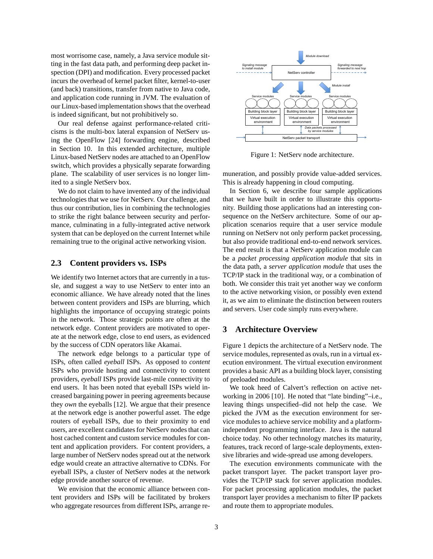most worrisome case, namely, a Java service module sitting in the fast data path, and performing deep packet inspection (DPI) and modification. Every processed packet incurs the overhead of kernel packet filter, kernel-to-user (and back) transitions, transfer from native to Java code, and application code running in JVM. The evaluation of our Linux-based implementation shows that the overhead is indeed significant, but not prohibitively so.

Our real defense against performance-related criticisms is the multi-box lateral expansion of NetServ using the OpenFlow [24] forwarding engine, described in Section 10. In this extended architecture, multiple Linux-based NetServ nodes are attached to an OpenFlow switch, which provides a physically separate forwarding plane. The scalability of user services is no longer limited to a single NetServ box.

We do not claim to have invented any of the individual technologies that we use for NetServ. Our challenge, and thus our contribution, lies in combining the technologies to strike the right balance between security and performance, culminating in a fully-integrated active network system that can be deployed on the current Internet while remaining true to the original active networking vision.

## **2.3 Content providers vs. ISPs**

We identify two Internet actors that are currently in a tussle, and suggest a way to use NetServ to enter into an economic alliance. We have already noted that the lines between content providers and ISPs are blurring, which highlights the importance of occupying strategic points in the network. Those strategic points are often at the network edge. Content providers are motivated to operate at the network edge, close to end users, as evidenced by the success of CDN operators like Akamai.

The network edge belongs to a particular type of ISPs, often called *eyeball* ISPs. As opposed to *content* ISPs who provide hosting and connectivity to content providers, *eyeball* ISPs provide last-mile connectivity to end users. It has been noted that eyeball ISPs wield increased bargaining power in peering agreements because they *own* the eyeballs [12]. We argue that their presence at the network edge is another powerful asset. The edge routers of eyeball ISPs, due to their proximity to end users, are excellent candidates for NetServ nodes that can host cached content and custom service modules for content and application providers. For content providers, a large number of NetServ nodes spread out at the network edge would create an attractive alternative to CDNs. For eyeball ISPs, a cluster of NetServ nodes at the network edge provide another source of revenue.

We envision that the economic alliance between content providers and ISPs will be facilitated by brokers who aggregate resources from different ISPs, arrange re-



Figure 1: NetServ node architecture.

muneration, and possibly provide value-added services. This is already happening in cloud computing.

In Section 6, we describe four sample applications that we have built in order to illustrate this opportunity. Building those applications had an interesting consequence on the NetServ architecture. Some of our application scenarios require that a user service module running on NetServ not only perform packet processing, but also provide traditional end-to-end network services. The end result is that a NetServ application module can be a *packet processing application module* that sits in the data path, a *server application module* that uses the TCP/IP stack in the traditional way, or a combination of both. We consider this trait yet another way we conform to the active networking vision, or possibly even extend it, as we aim to eliminate the distinction between routers and servers. User code simply runs everywhere.

# **3 Architecture Overview**

Figure 1 depicts the architecture of a NetServ node. The service modules, represented as ovals, run in a virtual execution environment. The virtual execution environment provides a basic API as a building block layer, consisting of preloaded modules.

We took heed of Calvert's reflection on active networking in 2006 [10]. He noted that "late binding"–i.e., leaving things unspecified–did not help the case. We picked the JVM as the execution environment for service modules to achieve service mobility and a platformindependent programming interface. Java is the natural choice today. No other technology matches its maturity, features, track record of large-scale deployments, extensive libraries and wide-spread use among developers.

The execution environments communicate with the packet transport layer. The packet transport layer provides the TCP/IP stack for server application modules. For packet processing application modules, the packet transport layer provides a mechanism to filter IP packets and route them to appropriate modules.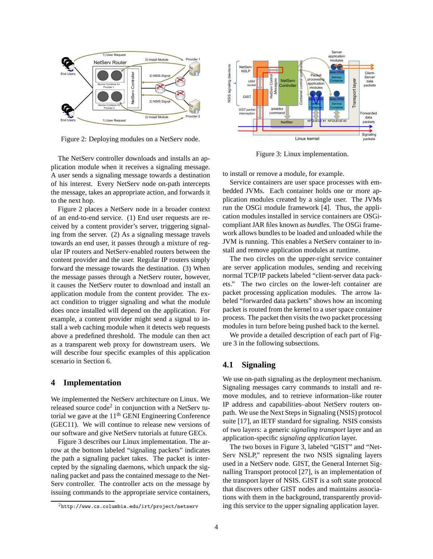

Figure 2: Deploying modules on a NetServ node.

The NetServ controller downloads and installs an application module when it receives a signaling message. A user sends a signaling message towards a destination of his interest. Every NetServ node on-path intercepts the message, takes an appropriate action, and forwards it to the next hop.

Figure 2 places a NetServ node in a broader context of an end-to-end service. (1) End user requests are received by a content provider's server, triggering signaling from the server. (2) As a signaling message travels towards an end user, it passes through a mixture of regular IP routers and NetServ-enabled routers between the content provider and the user. Regular IP routers simply forward the message towards the destination. (3) When the message passes through a NetServ router, however, it causes the NetServ router to download and install an application module from the content provider. The exact condition to trigger signaling and what the module does once installed will depend on the application. For example, a content provider might send a signal to install a web caching module when it detects web requests above a predefined threshold. The module can then act as a transparent web proxy for downstream users. We will describe four specific examples of this application scenario in Section 6.

# **4 Implementation**

We implemented the NetServ architecture on Linux. We released source  $\text{code}^2$  in conjunction with a NetServ tutorial we gave at the  $11<sup>th</sup>$  GENI Engineering Conference (GEC11). We will continue to release new versions of our software and give NetServ tutorials at future GECs.

Figure 3 describes our Linux implementation. The arrow at the bottom labeled "signaling packets" indicates the path a signaling packet takes. The packet is intercepted by the signaling daemons, which unpack the signaling packet and pass the contained message to the Net-Serv controller. The controller acts on the message by issuing commands to the appropriate service containers,



Figure 3: Linux implementation.

to install or remove a module, for example.

Service containers are user space processes with embedded JVMs. Each container holds one or more application modules created by a single user. The JVMs run the OSGi module framework [4]. Thus, the application modules installed in service containers are OSGicompliant JAR files known as *bundles*. The OSGi framework allows bundles to be loaded and unloaded while the JVM is running. This enables a NetServ container to install and remove application modules at runtime.

The two circles on the upper-right service container are server application modules, sending and receiving normal TCP/IP packets labeled "client-server data packets." The two circles on the lower-left container are packet processing application modules. The arrow labeled "forwarded data packets" shows how an incoming packet is routed from the kernel to a user space container process. The packet then visits the two packet processing modules in turn before being pushed back to the kernel.

We provide a detailed description of each part of Figure 3 in the following subsections.

# **4.1 Signaling**

We use on-path signaling as the deployment mechanism. Signaling messages carry commands to install and remove modules, and to retrieve information–like router IP address and capabilities–about NetServ routers onpath. We use the Next Steps in Signaling (NSIS) protocol suite [17], an IETF standard for signaling. NSIS consists of two layers: a generic *signaling transport* layer and an application-specific *signaling application* layer.

The two boxes in Figure 3, labeled "GIST" and "Net-Serv NSLP," represent the two NSIS signaling layers used in a NetServ node. GIST, the General Internet Signalling Transport protocol [27], is an implementation of the transport layer of NSIS. GIST is a soft state protocol that discovers other GIST nodes and maintains associations with them in the background, transparently providing this service to the upper signaling application layer.

 $^{2}$ http://www.cs.columbia.edu/irt/project/netserv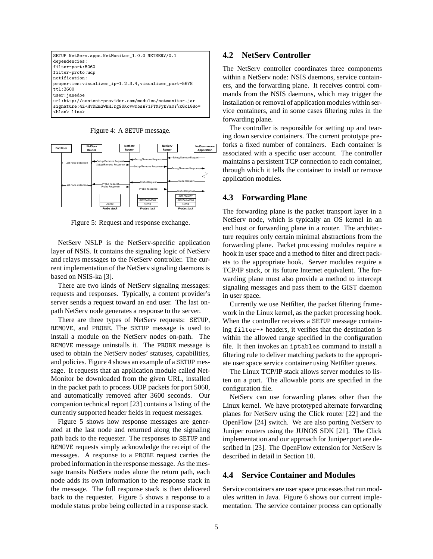

Figure 4: A SETUP message.



Figure 5: Request and response exchange.

NetServ NSLP is the NetServ-specific application layer of NSIS. It contains the signaling logic of NetServ and relays messages to the NetServ controller. The current implementation of the NetServ signaling daemons is based on NSIS-ka [3].

There are two kinds of NetServ signaling messages: requests and responses. Typically, a content provider's server sends a request toward an end user. The last onpath NetServ node generates a response to the server.

There are three types of NetServ requests: SETUP, REMOVE, and PROBE. The SETUP message is used to install a module on the NetServ nodes on-path. The REMOVE message uninstalls it. The PROBE message is used to obtain the NetServ nodes' statuses, capabilities, and policies. Figure 4 shows an example of a SETUP message. It requests that an application module called Net-Monitor be downloaded from the given URL, installed in the packet path to process UDP packets for port 5060, and automatically removed after 3600 seconds. Our companion technical report [23] contains a listing of the currently supported header fields in request messages.

Figure 5 shows how response messages are generated at the last node and returned along the signaling path back to the requester. The responses to SETUP and REMOVE requests simply acknowledge the receipt of the messages. A response to a PROBE request carries the probed information in the response message. As the message transits NetServ nodes alone the return path, each node adds its own information to the response stack in the message. The full response stack is then delivered back to the requester. Figure 5 shows a response to a module status probe being collected in a response stack.

# **4.2 NetServ Controller**

The NetServ controller coordinates three components within a NetServ node: NSIS daemons, service containers, and the forwarding plane. It receives control commands from the NSIS daemons, which may trigger the installation or removal of application modules within service containers, and in some cases filtering rules in the forwarding plane.

The controller is responsible for setting up and tearing down service containers. The current prototype preforks a fixed number of containers. Each container is associated with a specific user account. The controller maintains a persistent TCP connection to each container, through which it tells the container to install or remove application modules.

## **4.3 Forwarding Plane**

The forwarding plane is the packet transport layer in a NetServ node, which is typically an OS kernel in an end host or forwarding plane in a router. The architecture requires only certain minimal abstractions from the forwarding plane. Packet processing modules require a hook in user space and a method to filter and direct packets to the appropriate hook. Server modules require a TCP/IP stack, or its future Internet equivalent. The forwarding plane must also provide a method to intercept signaling messages and pass them to the GIST daemon in user space.

Currently we use Netfilter, the packet filtering framework in the Linux kernel, as the packet processing hook. When the controller receives a SETUP message containing filter-\* headers, it verifies that the destination is within the allowed range specified in the configuration file. It then invokes an iptables command to install a filtering rule to deliver matching packets to the appropriate user space service container using Netfilter queues.

The Linux TCP/IP stack allows server modules to listen on a port. The allowable ports are specified in the configuration file.

NetServ can use forwarding planes other than the Linux kernel. We have prototyped alternate forwarding planes for NetServ using the Click router [22] and the OpenFlow [24] switch. We are also porting NetServ to Juniper routers using the JUNOS SDK [21]. The Click implementation and our approach for Juniper port are described in [23]. The OpenFlow extension for NetServ is described in detail in Section 10.

# **4.4 Service Container and Modules**

Service containers are user space processes that run modules written in Java. Figure 6 shows our current implementation. The service container process can optionally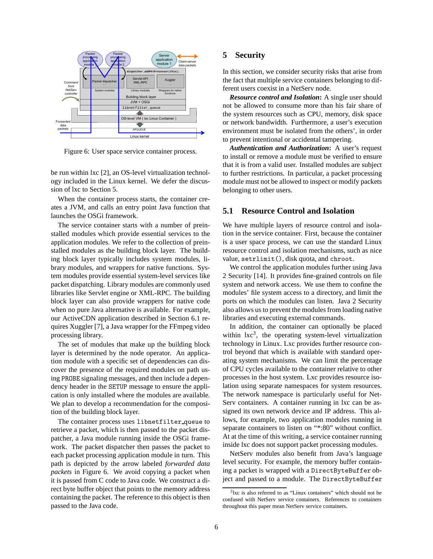

Figure 6: User space service container process.

be run within lxc [2], an OS-level virtualization technology included in the Linux kernel. We defer the discussion of lxc to Section 5.

When the container process starts, the container creates a JVM, and calls an entry point Java function that launches the OSGi framework.

The service container starts with a number of preinstalled modules which provide essential services to the application modules. We refer to the collection of preinstalled modules as the building block layer. The building block layer typically includes system modules, library modules, and wrappers for native functions. System modules provide essential system-level services like packet dispatching. Library modules are commonly used libraries like Servlet engine or XML-RPC. The building block layer can also provide wrappers for native code when no pure Java alternative is available. For example, our ActiveCDN application described in Section 6.1 requires Xuggler [7], a Java wrapper for the FFmpeg video processing library.

The set of modules that make up the building block layer is determined by the node operator. An application module with a specific set of dependencies can discover the presence of the required modules on path using PROBE signaling messages, and then include a dependency header in the SETUP message to ensure the application is only installed where the modules are available. We plan to develop a recommendation for the composition of the building block layer.

The container process uses libnetfilter queue to retrieve a packet, which is then passed to the packet dispatcher, a Java module running inside the OSGi framework. The packet dispatcher then passes the packet to each packet processing application module in turn. This path is depicted by the arrow labeled *forwarded data packets* in Figure 6. We avoid copying a packet when it is passed from C code to Java code. We construct a direct byte buffer object that points to the memory address containing the packet. The reference to this object is then passed to the Java code.

# **5 Security**

In this section, we consider security risks that arise from the fact that multiple service containers belonging to different users coexist in a NetServ node.

*Resource control and Isolation***:** A single user should not be allowed to consume more than his fair share of the system resources such as CPU, memory, disk space or network bandwidth. Furthermore, a user's execution environment must be isolated from the others', in order to prevent intentional or accidental tampering.

*Authentication and Authorization***:** A user's request to install or remove a module must be verified to ensure that it is from a valid user. Installed modules are subject to further restrictions. In particular, a packet processing module must not be allowed to inspect or modify packets belonging to other users.

# **5.1 Resource Control and Isolation**

We have multiple layers of resource control and isolation in the service container. First, because the container is a user space process, we can use the standard Linux resource control and isolation mechanisms, such as nice value, setrlimit(), disk quota, and chroot.

We control the application modules further using Java 2 Security [14]. It provides fine-grained controls on file system and network access. We use them to confine the modules' file system access to a directory, and limit the ports on which the modules can listen. Java 2 Security also allows us to prevent the modules from loading native libraries and executing external commands.

In addition, the container can optionally be placed within  $lxc<sup>3</sup>$ , the operating system-level virtualization technology in Linux. Lxc provides further resource control beyond that which is available with standard operating system mechanisms. We can limit the percentage of CPU cycles available to the container relative to other processes in the host system. Lxc provides resource isolation using separate namespaces for system resources. The network namespace is particularly useful for Net-Serv containers. A container running in lxc can be assigned its own network device and IP address. This allows, for example, two application modules running in separate containers to listen on "\*:80" without conflict. At at the time of this writing, a service container running inside lxc does not support packet processing modules.

NetServ modules also benefit from Java's language level security. For example, the memory buffer containing a packet is wrapped with a DirectByteBuffer object and passed to a module. The DirectByteBuffer

<sup>3</sup> lxc is also referred to as "Linux containers" which should not be confused with NetServ service containers. References to containers throughout this paper mean NetServ service containers.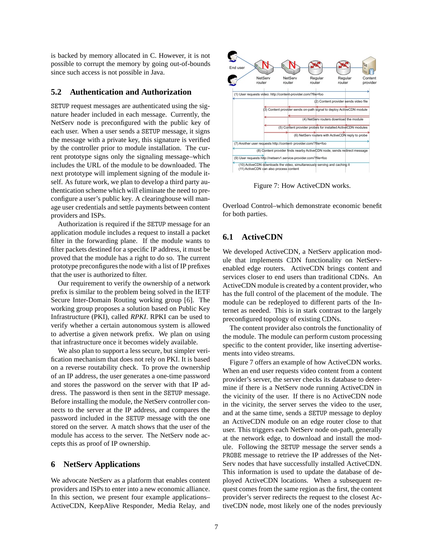is backed by memory allocated in C. However, it is not possible to corrupt the memory by going out-of-bounds since such access is not possible in Java.

# **5.2 Authentication and Authorization**

SETUP request messages are authenticated using the signature header included in each message. Currently, the NetServ node is preconfigured with the public key of each user. When a user sends a SETUP message, it signs the message with a private key, this signature is verified by the controller prior to module installation. The current prototype signs only the signaling message–which includes the URL of the module to be downloaded. The next prototype will implement signing of the module itself. As future work, we plan to develop a third party authentication scheme which will eliminate the need to preconfigure a user's public key. A clearinghouse will manage user credentials and settle payments between content providers and ISPs.

Authorization is required if the SETUP message for an application module includes a request to install a packet filter in the forwarding plane. If the module wants to filter packets destined for a specific IP address, it must be proved that the module has a right to do so. The current prototype preconfigures the node with a list of IP prefixes that the user is authorized to filter.

Our requirement to verify the ownership of a network prefix is similar to the problem being solved in the IETF Secure Inter-Domain Routing working group [6]. The working group proposes a solution based on Public Key Infrastructure (PKI), called *RPKI*. RPKI can be used to verify whether a certain autonomous system is allowed to advertise a given network prefix. We plan on using that infrastructure once it becomes widely available.

We also plan to support a less secure, but simpler verification mechanism that does not rely on PKI. It is based on a reverse routability check. To prove the ownership of an IP address, the user generates a one-time password and stores the password on the server with that IP address. The password is then sent in the SETUP message. Before installing the module, the NetServ controller connects to the server at the IP address, and compares the password included in the SETUP message with the one stored on the server. A match shows that the user of the module has access to the server. The NetServ node accepts this as proof of IP ownership.

## **6 NetServ Applications**

We advocate NetServ as a platform that enables content providers and ISPs to enter into a new economic alliance. In this section, we present four example applications– ActiveCDN, KeepAlive Responder, Media Relay, and



Figure 7: How ActiveCDN works.

Overload Control–which demonstrate economic benefit for both parties.

# **6.1 ActiveCDN**

We developed ActiveCDN, a NetServ application module that implements CDN functionality on NetServenabled edge routers. ActiveCDN brings content and services closer to end users than traditional CDNs. An ActiveCDN module is created by a content provider, who has the full control of the placement of the module. The module can be redeployed to different parts of the Internet as needed. This is in stark contrast to the largely preconfigured topology of existing CDNs.

The content provider also controls the functionality of the module. The module can perform custom processing specific to the content provider, like inserting advertisements into video streams.

Figure 7 offers an example of how ActiveCDN works. When an end user requests video content from a content provider's server, the server checks its database to determine if there is a NetServ node running ActiveCDN in the vicinity of the user. If there is no ActiveCDN node in the vicinity, the server serves the video to the user, and at the same time, sends a SETUP message to deploy an ActiveCDN module on an edge router close to that user. This triggers each NetServ node on-path, generally at the network edge, to download and install the module. Following the SETUP message the server sends a PROBE message to retrieve the IP addresses of the Net-Serv nodes that have successfully installed ActiveCDN. This information is used to update the database of deployed ActiveCDN locations. When a subsequent request comes from the same region as the first, the content provider's server redirects the request to the closest ActiveCDN node, most likely one of the nodes previously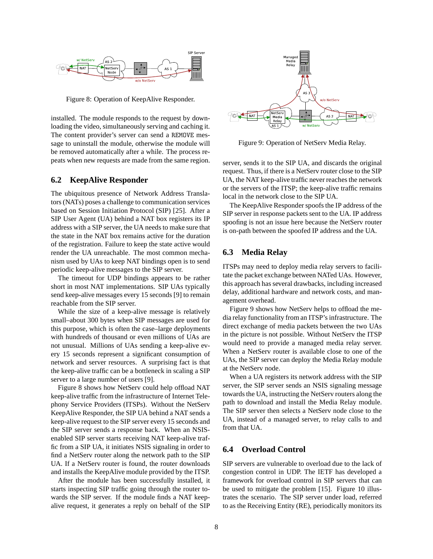

Figure 8: Operation of KeepAlive Responder.

installed. The module responds to the request by downloading the video, simultaneously serving and caching it. The content provider's server can send a REMOVE message to uninstall the module, otherwise the module will be removed automatically after a while. The process repeats when new requests are made from the same region.

### **6.2 KeepAlive Responder**

The ubiquitous presence of Network Address Translators (NATs) poses a challenge to communication services based on Session Initiation Protocol (SIP) [25]. After a SIP User Agent (UA) behind a NAT box registers its IP address with a SIP server, the UA needs to make sure that the state in the NAT box remains active for the duration of the registration. Failure to keep the state active would render the UA unreachable. The most common mechanism used by UAs to keep NAT bindings open is to send periodic keep-alive messages to the SIP server.

The timeout for UDP bindings appears to be rather short in most NAT implementations. SIP UAs typically send keep-alive messages every 15 seconds [9] to remain reachable from the SIP server.

While the size of a keep-alive message is relatively small–about 300 bytes when SIP messages are used for this purpose, which is often the case–large deployments with hundreds of thousand or even millions of UAs are not unusual. Millions of UAs sending a keep-alive every 15 seconds represent a significant consumption of network and server resources. A surprising fact is that the keep-alive traffic can be a bottleneck in scaling a SIP server to a large number of users [9].

Figure 8 shows how NetServ could help offload NAT keep-alive traffic from the infrastructure of Internet Telephony Service Providers (ITSPs). Without the NetServ KeepAlive Responder, the SIP UA behind a NAT sends a keep-alive request to the SIP server every 15 seconds and the SIP server sends a response back. When an NSISenabled SIP server starts receiving NAT keep-alive traffic from a SIP UA, it initiates NSIS signaling in order to find a NetServ router along the network path to the SIP UA. If a NetServ router is found, the router downloads and installs the KeepAlive module provided by the ITSP.

After the module has been successfully installed, it starts inspecting SIP traffic going through the router towards the SIP server. If the module finds a NAT keepalive request, it generates a reply on behalf of the SIP



Figure 9: Operation of NetServ Media Relay.

server, sends it to the SIP UA, and discards the original request. Thus, if there is a NetServ router close to the SIP UA, the NAT keep-alive traffic never reaches the network or the servers of the ITSP; the keep-alive traffic remains local in the network close to the SIP UA.

The KeepAlive Responder spoofs the IP address of the SIP server in response packets sent to the UA. IP address spoofing is not an issue here because the NetServ router is on-path between the spoofed IP address and the UA.

# **6.3 Media Relay**

ITSPs may need to deploy media relay servers to facilitate the packet exchange between NATed UAs. However, this approach has several drawbacks, including increased delay, additional hardware and network costs, and management overhead.

Figure 9 shows how NetServ helps to offload the media relay functionality from an ITSP's infrastructure. The direct exchange of media packets between the two UAs in the picture is not possible. Without NetServ the ITSP would need to provide a managed media relay server. When a NetServ router is available close to one of the UAs, the SIP server can deploy the Media Relay module at the NetServ node.

When a UA registers its network address with the SIP server, the SIP server sends an NSIS signaling message towards the UA, instructing the NetServ routers along the path to download and install the Media Relay module. The SIP server then selects a NetServ node close to the UA, instead of a managed server, to relay calls to and from that UA.

# **6.4 Overload Control**

SIP servers are vulnerable to overload due to the lack of congestion control in UDP. The IETF has developed a framework for overload control in SIP servers that can be used to mitigate the problem [15]. Figure 10 illustrates the scenario. The SIP server under load, referred to as the Receiving Entity (RE), periodically monitors its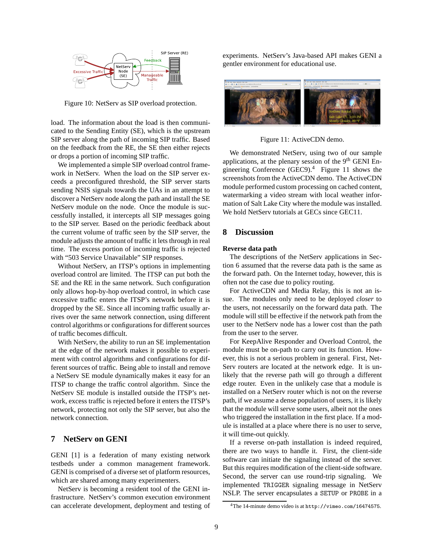

Figure 10: NetServ as SIP overload protection.

load. The information about the load is then communicated to the Sending Entity (SE), which is the upstream SIP server along the path of incoming SIP traffic. Based on the feedback from the RE, the SE then either rejects or drops a portion of incoming SIP traffic.

We implemented a simple SIP overload control framework in NetServ. When the load on the SIP server exceeds a preconfigured threshold, the SIP server starts sending NSIS signals towards the UAs in an attempt to discover a NetServ node along the path and install the SE NetServ module on the node. Once the module is successfully installed, it intercepts all SIP messages going to the SIP server. Based on the periodic feedback about the current volume of traffic seen by the SIP server, the module adjusts the amount of traffic it lets through in real time. The excess portion of incoming traffic is rejected with "503 Service Unavailable" SIP responses.

Without NetServ, an ITSP's options in implementing overload control are limited. The ITSP can put both the SE and the RE in the same network. Such configuration only allows hop-by-hop overload control, in which case excessive traffic enters the ITSP's network before it is dropped by the SE. Since all incoming traffic usually arrives over the same network connection, using different control algorithms or configurations for different sources of traffic becomes difficult.

With NetServ, the ability to run an SE implementation at the edge of the network makes it possible to experiment with control algorithms and configurations for different sources of traffic. Being able to install and remove a NetServ SE module dynamically makes it easy for an ITSP to change the traffic control algorithm. Since the NetServ SE module is installed outside the ITSP's network, excess traffic is rejected before it enters the ITSP's network, protecting not only the SIP server, but also the network connection.

# **7 NetServ on GENI**

GENI [1] is a federation of many existing network testbeds under a common management framework. GENI is comprised of a diverse set of platform resources, which are shared among many experimenters.

NetServ is becoming a resident tool of the GENI infrastructure. NetServ's common execution environment can accelerate development, deployment and testing of experiments. NetServ's Java-based API makes GENI a gentler environment for educational use.



Figure 11: ActiveCDN demo.

We demonstrated NetServ, using two of our sample applications, at the plenary session of the  $9<sup>th</sup>$  GENI Engineering Conference  $(GEC9)$ <sup>4</sup> Figure 11 shows the screenshots from the ActiveCDN demo. The ActiveCDN module performed custom processing on cached content, watermarking a video stream with local weather information of Salt Lake City where the module was installed. We hold NetServ tutorials at GECs since GEC11.

# **8 Discussion**

#### **Reverse data path**

The descriptions of the NetServ applications in Section 6 assumed that the reverse data path is the same as the forward path. On the Internet today, however, this is often not the case due to policy routing.

For ActiveCDN and Media Relay, this is not an issue. The modules only need to be deployed *closer* to the users, not necessarily on the forward data path. The module will still be effective if the network path from the user to the NetServ node has a lower cost than the path from the user to the server.

For KeepAlive Responder and Overload Control, the module must be on-path to carry out its function. However, this is not a serious problem in general. First, Net-Serv routers are located at the network edge. It is unlikely that the reverse path will go through a different edge router. Even in the unlikely case that a module is installed on a NetServ router which is not on the reverse path, if we assume a dense population of users, it is likely that the module will serve some users, albeit not the ones who triggered the installation in the first place. If a module is installed at a place where there is no user to serve, it will time-out quickly.

If a reverse on-path installation is indeed required, there are two ways to handle it. First, the client-side software can initiate the signaling instead of the server. But this requires modification of the client-side software. Second, the server can use round-trip signaling. We implemented TRIGGER signaling message in NetServ NSLP. The server encapsulates a SETUP or PROBE in a

<sup>&</sup>lt;sup>4</sup>The 14-minute demo video is at http://vimeo.com/16474575.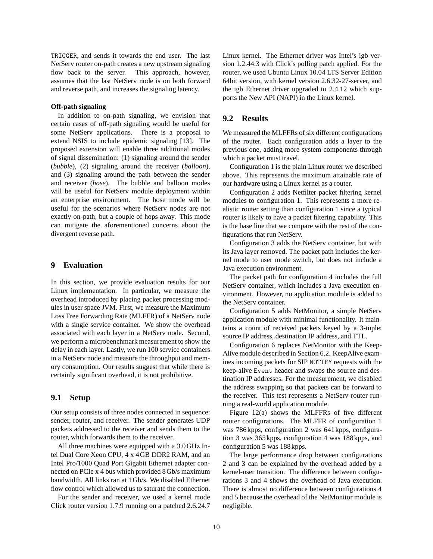TRIGGER, and sends it towards the end user. The last NetServ router on-path creates a new upstream signaling flow back to the server. This approach, however, assumes that the last NetServ node is on both forward and reverse path, and increases the signaling latency.

#### **Off-path signaling**

In addition to on-path signaling, we envision that certain cases of off-path signaling would be useful for some NetServ applications. There is a proposal to extend NSIS to include epidemic signaling [13]. The proposed extension will enable three additional modes of signal dissemination: (1) signaling around the sender (*bubble*), (2) signaling around the receiver (*balloon*), and (3) signaling around the path between the sender and receiver (*hose*). The bubble and balloon modes will be useful for NetServ module deployment within an enterprise environment. The hose mode will be useful for the scenarios where NetServ nodes are not exactly on-path, but a couple of hops away. This mode can mitigate the aforementioned concerns about the divergent reverse path.

# **9 Evaluation**

In this section, we provide evaluation results for our Linux implementation. In particular, we measure the overhead introduced by placing packet processing modules in user space JVM. First, we measure the Maximum Loss Free Forwarding Rate (MLFFR) of a NetServ node with a single service container. We show the overhead associated with each layer in a NetServ node. Second, we perform a microbenchmark measurement to show the delay in each layer. Lastly, we run 100 service containers in a NetServ node and measure the throughput and memory consumption. Our results suggest that while there is certainly significant overhead, it is not prohibitive.

# **9.1 Setup**

Our setup consists of three nodes connected in sequence: sender, router, and receiver. The sender generates UDP packets addressed to the receiver and sends them to the router, which forwards them to the receiver.

All three machines were equipped with a 3.0GHz Intel Dual Core Xeon CPU, 4 x 4GB DDR2 RAM, and an Intel Pro/1000 Quad Port Gigabit Ethernet adapter connected on PCIe x 4 bus which provided 8Gb/s maximum bandwidth. All links ran at 1Gb/s. We disabled Ethernet flow control which allowed us to saturate the connection.

For the sender and receiver, we used a kernel mode Click router version 1.7.9 running on a patched 2.6.24.7 Linux kernel. The Ethernet driver was Intel's igb version 1.2.44.3 with Click's polling patch applied. For the router, we used Ubuntu Linux 10.04 LTS Server Edition 64bit version, with kernel version 2.6.32-27-server, and the igb Ethernet driver upgraded to 2.4.12 which supports the New API (NAPI) in the Linux kernel.

# **9.2 Results**

We measured the MLFFRs of six different configurations of the router. Each configuration adds a layer to the previous one, adding more system components through which a packet must travel.

Configuration 1 is the plain Linux router we described above. This represents the maximum attainable rate of our hardware using a Linux kernel as a router.

Configuration 2 adds Netfilter packet filtering kernel modules to configuration 1. This represents a more realistic router setting than configuration 1 since a typical router is likely to have a packet filtering capability. This is the base line that we compare with the rest of the configurations that run NetServ.

Configuration 3 adds the NetServ container, but with its Java layer removed. The packet path includes the kernel mode to user mode switch, but does not include a Java execution environment.

The packet path for configuration 4 includes the full NetServ container, which includes a Java execution environment. However, no application module is added to the NetServ container.

Configuration 5 adds NetMonitor, a simple NetServ application module with minimal functionality. It maintains a count of received packets keyed by a 3-tuple: source IP address, destination IP address, and TTL.

Configuration 6 replaces NetMonitor with the Keep-Alive module described in Section 6.2. KeepAlive examines incoming packets for SIP NOTIFY requests with the keep-alive Event header and swaps the source and destination IP addresses. For the measurement, we disabled the address swapping so that packets can be forward to the receiver. This test represents a NetServ router running a real-world application module.

Figure 12(a) shows the MLFFRs of five different router configurations. The MLFFR of configuration 1 was 786kpps, configuration 2 was 641kpps, configuration 3 was 365kpps, configuration 4 was 188kpps, and configuration 5 was 188kpps.

The large performance drop between configurations 2 and 3 can be explained by the overhead added by a kernel-user transition. The difference between configurations 3 and 4 shows the overhead of Java execution. There is almost no difference between configurations 4 and 5 because the overhead of the NetMonitor module is negligible.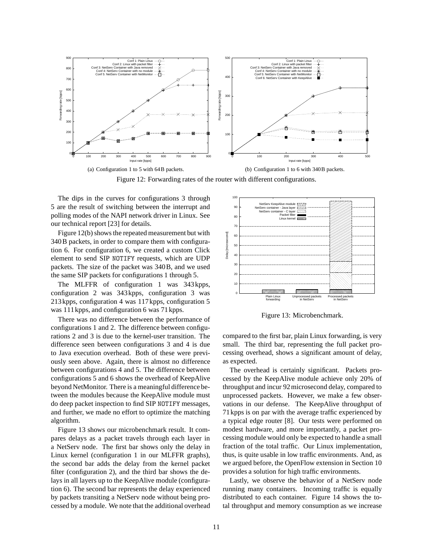

(b) Configuration 1 to 6 with 340B packets.

Figure 12: Forwarding rates of the router with different configurations.

The dips in the curves for configurations 3 through 5 are the result of switching between the interrupt and polling modes of the NAPI network driver in Linux. See our technical report [23] for details.

Figure 12(b) shows the repeated measurement but with 340B packets, in order to compare them with configuration 6. For configuration 6, we created a custom Click element to send SIP NOTIFY requests, which are UDP packets. The size of the packet was 340B, and we used the same SIP packets for configurations 1 through 5.

The MLFFR of configuration 1 was 343kpps, configuration 2 was 343kpps, configuration 3 was 213kpps, configuration 4 was 117kpps, configuration 5 was 111kpps, and configuration 6 was 71kpps.

There was no difference between the performance of configurations 1 and 2. The difference between configurations 2 and 3 is due to the kernel-user transition. The difference seen between configurations 3 and 4 is due to Java execution overhead. Both of these were previously seen above. Again, there is almost no difference between configurations 4 and 5. The difference between configurations 5 and 6 shows the overhead of KeepAlive beyond NetMonitor. There is a meaningful difference between the modules because the KeepAlive module must do deep packet inspection to find SIP NOTIFY messages, and further, we made no effort to optimize the matching algorithm.

Figure 13 shows our microbenchmark result. It compares delays as a packet travels through each layer in a NetServ node. The first bar shows only the delay in Linux kernel (configuration 1 in our MLFFR graphs), the second bar adds the delay from the kernel packet filter (configuration 2), and the third bar shows the delays in all layers up to the KeepAlive module (configuration 6). The second bar represents the delay experienced by packets transiting a NetServ node without being processed by a module. We note that the additional overhead



Figure 13: Microbenchmark.

compared to the first bar, plain Linux forwarding, is very small. The third bar, representing the full packet processing overhead, shows a significant amount of delay, as expected.

The overhead is certainly significant. Packets processed by the KeepAlive module achieve only 20% of throughput and incur 92microsecond delay, compared to unprocessed packets. However, we make a few observations in our defense. The KeepAlive throughput of 71kpps is on par with the average traffic experienced by a typical edge router [8]. Our tests were performed on modest hardware, and more importantly, a packet processing module would only be expected to handle a small fraction of the total traffic. Our Linux implementation, thus, is quite usable in low traffic environments. And, as we argued before, the OpenFlow extension in Section 10 provides a solution for high traffic environments.

Lastly, we observe the behavior of a NetServ node running many containers. Incoming traffic is equally distributed to each container. Figure 14 shows the total throughput and memory consumption as we increase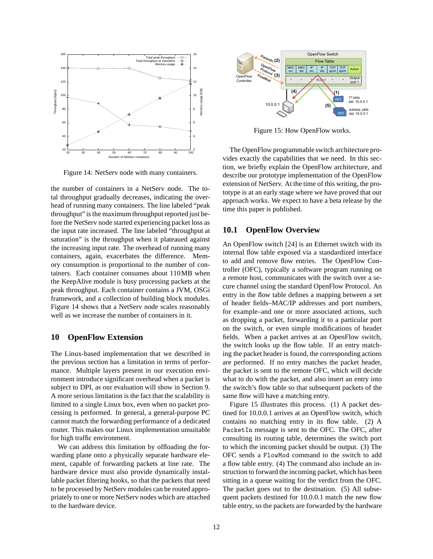

Figure 14: NetServ node with many containers.

the number of containers in a NetServ node. The total throughput gradually decreases, indicating the overhead of running many containers. The line labeled "peak throughput" is the maximum throughput reported just before the NetServ node started experiencing packet loss as the input rate increased. The line labeled "throughput at saturation" is the throughput when it plateaued against the increasing input rate. The overhead of running many containers, again, exacerbates the difference. Memory consumption is proportional to the number of containers. Each container consumes about 110MB when the KeepAlive module is busy processing packets at the peak throughput. Each container contains a JVM, OSGi framework, and a collection of building block modules. Figure 14 shows that a NetServ node scales reasonably well as we increase the number of containers in it.

# **10 OpenFlow Extension**

The Linux-based implementation that we described in the previous section has a limitation in terms of performance. Multiple layers present in our execution environment introduce significant overhead when a packet is subject to DPI, as our evaluation will show in Section 9. A more serious limitation is the fact that the scalability is limited to a single Linux box, even when no packet processing is performed. In general, a general-purpose PC cannot match the forwarding performance of a dedicated router. This makes our Linux implementation unsuitable for high traffic environment.

We can address this limitation by offloading the forwarding plane onto a physically separate hardware element, capable of forwarding packets at line rate. The hardware device must also provide dynamically installable packet filtering hooks, so that the packets that need to be processed by NetServ modules can be routed appropriately to one or more NetServ nodes which are attached to the hardware device.



Figure 15: How OpenFlow works.

The OpenFlow programmable switch architecture provides exactly the capabilities that we need. In this section, we briefly explain the OpenFlow architecture, and describe our prototype implementation of the OpenFlow extension of NetServ. At the time of this writing, the prototype is at an early stage where we have proved that our approach works. We expect to have a beta release by the time this paper is published.

# **10.1 OpenFlow Overview**

An OpenFlow switch [24] is an Ethernet switch with its internal flow table exposed via a standardized interface to add and remove flow entries. The OpenFlow Controller (OFC), typically a software program running on a remote host, communicates with the switch over a secure channel using the standard OpenFlow Protocol. An entry in the flow table defines a mapping between a set of header fields–MAC/IP addresses and port numbers, for example–and one or more associated actions, such as dropping a packet, forwarding it to a particular port on the switch, or even simple modifications of header fields. When a packet arrives at an OpenFlow switch, the switch looks up the flow table. If an entry matching the packet header is found, the corresponding actions are performed. If no entry matches the packet header, the packet is sent to the remote OFC, which will decide what to do with the packet, and also insert an entry into the switch's flow table so that subsequent packets of the same flow will have a matching entry.

Figure 15 illustrates this process. (1) A packet destined for 10.0.0.1 arrives at an OpenFlow switch, which contains no matching entry in its flow table. (2) A PacketIn message is sent to the OFC. The OFC, after consulting its routing table, determines the switch port to which the incoming packet should be output. (3) The OFC sends a FlowMod command to the switch to add a flow table entry. (4) The command also include an instruction to forward the incoming packet, which has been sitting in a queue waiting for the verdict from the OFC. The packet goes out to the destination. (5) All subsequent packets destined for 10.0.0.1 match the new flow table entry, so the packets are forwarded by the hardware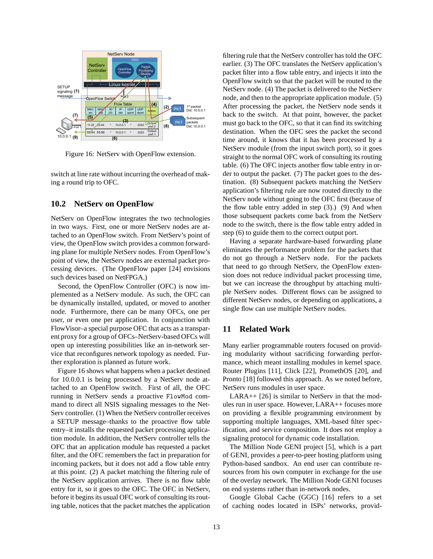

Figure 16: NetServ with OpenFlow extension.

switch at line rate without incurring the overhead of making a round trip to OFC.

# **10.2 NetServ on OpenFlow**

NetServ on OpenFlow integrates the two technologies in two ways. First, one or more NetServ nodes are attached to an OpenFlow switch. From NetServ's point of view, the OpenFlow switch provides a common forwarding plane for multiple NetServ nodes. From OpenFlow's point of view, the NetServ nodes are external packet processing devices. (The OpenFlow paper [24] envisions such devices based on NetFPGA.)

Second, the OpenFlow Controller (OFC) is now implemented as a NetServ module. As such, the OFC can be dynamically installed, updated, or moved to another node. Furthermore, there can be many OFCs, one per user, or even one per application. In conjunction with FlowVisor–a special purpose OFC that acts as a transparent proxy for a group of OFCs–NetServ-based OFCs will open up interesting possibilities like an in-network service that reconfigures network topology as needed. Further exploration is planned as future work.

Figure 16 shows what happens when a packet destined for 10.0.0.1 is being processed by a NetServ node attached to an OpenFlow switch. First of all, the OFC running in NetServ sends a proactive FlowMod command to direct all NSIS signaling messages to the Net-Serv controller. (1) When the NetServ controller receives a SETUP message–thanks to the proactive flow table entry–it installs the requested packet processing application module. In addition, the NetServ controller tells the OFC that an application module has requested a packet filter, and the OFC remembers the fact in preparation for incoming packets, but it does not add a flow table entry at this point. (2) A packet matching the filtering rule of the NetServ application arrives. There is no flow table entry for it, so it goes to the OFC. The OFC in NetServ, before it begins its usual OFC work of consulting its routing table, notices that the packet matches the application filtering rule that the NetServ controller has told the OFC earlier. (3) The OFC translates the NetServ application's packet filter into a flow table entry, and injects it into the OpenFlow switch so that the packet will be routed to the NetServ node. (4) The packet is delivered to the NetServ node, and then to the appropriate application module. (5) After processing the packet, the NetServ node sends it back to the switch. At that point, however, the packet must go back to the OFC, so that it can find its switching destination. When the OFC sees the packet the second time around, it knows that it has been processed by a NetServ module (from the input switch port), so it goes straight to the normal OFC work of consulting its routing table. (6) The OFC injects another flow table entry in order to output the packet. (7) The packet goes to the destination. (8) Subsequent packets matching the NetServ application's filtering rule are now routed directly to the NetServ node without going to the OFC first (because of the flow table entry added in step (3).) (9) And when those subsequent packets come back from the NetServ node to the switch, there is the flow table entry added in step (6) to guide them to the correct output port.

Having a separate hardware-based forwarding plane eliminates the performance problem for the packets that do not go through a NetServ node. For the packets that need to go through NetServ, the OpenFlow extension does not reduce individual packet processing time, but we can increase the throughput by attaching multiple NetServ nodes. Different flows can be assigned to different NetServ nodes, or depending on applications, a single flow can use multiple NetServ nodes.

# **11 Related Work**

Many earlier programmable routers focused on providing modularity without sacrificing forwarding performance, which meant installing modules in kernel space. Router Plugins [11], Click [22], PromethOS [20], and Pronto [18] followed this approach. As we noted before, NetServ runs modules in user space.

LARA++ [26] is similar to NetServ in that the modules run in user space. However, LARA++ focuses more on providing a flexible programming environment by supporting multiple languages, XML-based filter specification, and service composition. It does not employ a signaling protocol for dynamic code installation.

The Million Node GENI project [5], which is a part of GENI, provides a peer-to-peer hosting platform using Python-based sandbox. An end user can contribute resources from his own computer in exchange for the use of the overlay network. The Million Node GENI focuses on end systems rather than in-network nodes.

Google Global Cache (GGC) [16] refers to a set of caching nodes located in ISPs' networks, provid